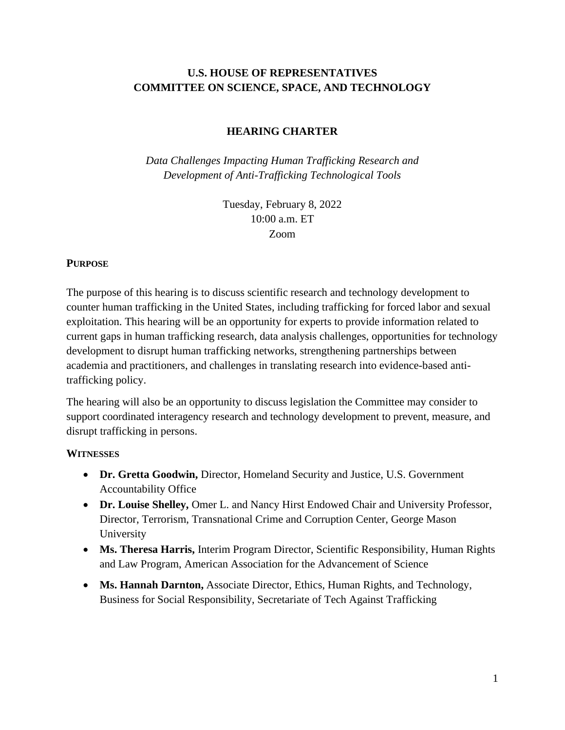# **U.S. HOUSE OF REPRESENTATIVES COMMITTEE ON SCIENCE, SPACE, AND TECHNOLOGY**

### **HEARING CHARTER**

*Data Challenges Impacting Human Trafficking Research and Development of Anti-Trafficking Technological Tools*

> Tuesday, February 8, 2022 10:00 a.m. ET Zoom

### **PURPOSE**

The purpose of this hearing is to discuss scientific research and technology development to counter human trafficking in the United States, including trafficking for forced labor and sexual exploitation. This hearing will be an opportunity for experts to provide information related to current gaps in human trafficking research, data analysis challenges, opportunities for technology development to disrupt human trafficking networks, strengthening partnerships between academia and practitioners, and challenges in translating research into evidence-based antitrafficking policy.

The hearing will also be an opportunity to discuss legislation the Committee may consider to support coordinated interagency research and technology development to prevent, measure, and disrupt trafficking in persons.

#### **WITNESSES**

- **Dr. Gretta Goodwin,** Director, Homeland Security and Justice, U.S. Government Accountability Office
- **Dr. Louise Shelley,** Omer L. and Nancy Hirst Endowed Chair and University Professor, Director, Terrorism, Transnational Crime and Corruption Center, George Mason University
- **Ms. Theresa Harris,** Interim Program Director, Scientific Responsibility, Human Rights and Law Program, American Association for the Advancement of Science
- **Ms. Hannah Darnton,** Associate Director, Ethics, Human Rights, and Technology, Business for Social Responsibility, Secretariate of Tech Against Trafficking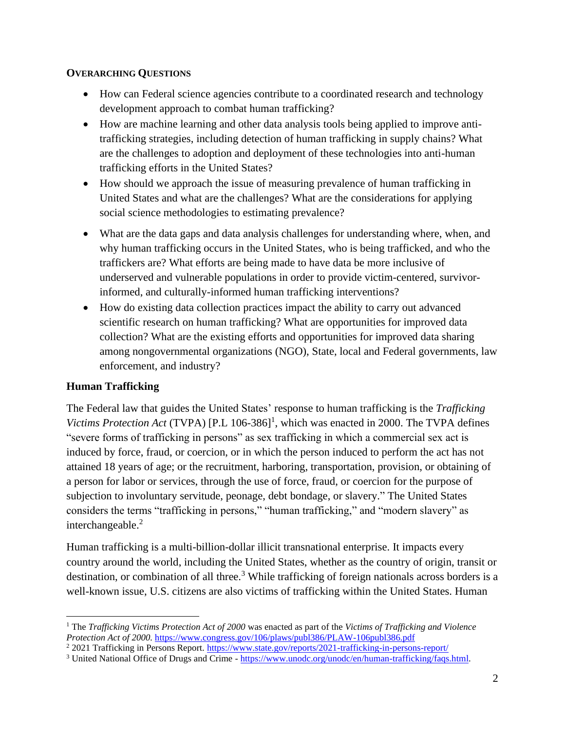### **OVERARCHING QUESTIONS**

- How can Federal science agencies contribute to a coordinated research and technology development approach to combat human trafficking?
- How are machine learning and other data analysis tools being applied to improve antitrafficking strategies, including detection of human trafficking in supply chains? What are the challenges to adoption and deployment of these technologies into anti-human trafficking efforts in the United States?
- How should we approach the issue of measuring prevalence of human trafficking in United States and what are the challenges? What are the considerations for applying social science methodologies to estimating prevalence?
- What are the data gaps and data analysis challenges for understanding where, when, and why human trafficking occurs in the United States, who is being trafficked, and who the traffickers are? What efforts are being made to have data be more inclusive of underserved and vulnerable populations in order to provide victim-centered, survivorinformed, and culturally-informed human trafficking interventions?
- How do existing data collection practices impact the ability to carry out advanced scientific research on human trafficking? What are opportunities for improved data collection? What are the existing efforts and opportunities for improved data sharing among nongovernmental organizations (NGO), State, local and Federal governments, law enforcement, and industry?

# **Human Trafficking**

The Federal law that guides the United States' response to human trafficking is the *Trafficking*  Victims Protection Act (TVPA)  $[P.L. 106-386]^1$ , which was enacted in 2000. The TVPA defines "severe forms of trafficking in persons" as sex trafficking in which a commercial sex act is induced by force, fraud, or coercion, or in which the person induced to perform the act has not attained 18 years of age; or the recruitment, harboring, transportation, provision, or obtaining of a person for labor or services, through the use of force, fraud, or coercion for the purpose of subjection to involuntary servitude, peonage, debt bondage, or slavery." The United States considers the terms "trafficking in persons," "human trafficking," and "modern slavery" as interchangeable.<sup>2</sup>

Human trafficking is a multi-billion-dollar illicit transnational enterprise. It impacts every country around the world, including the United States, whether as the country of origin, transit or destination, or combination of all three.<sup>3</sup> While trafficking of foreign nationals across borders is a well-known issue, U.S. citizens are also victims of trafficking within the United States. Human

<sup>1</sup> The *Trafficking Victims Protection Act of 2000* was enacted as part of the *Victims of Trafficking and Violence Protection Act of 2000.* <https://www.congress.gov/106/plaws/publ386/PLAW-106publ386.pdf>

<sup>&</sup>lt;sup>2</sup> 2021 Trafficking in Persons Report.<https://www.state.gov/reports/2021-trafficking-in-persons-report/>

<sup>3</sup> United National Office of Drugs and Crime - [https://www.unodc.org/unodc/en/human-trafficking/faqs.html.](https://www.unodc.org/unodc/en/human-trafficking/faqs.html)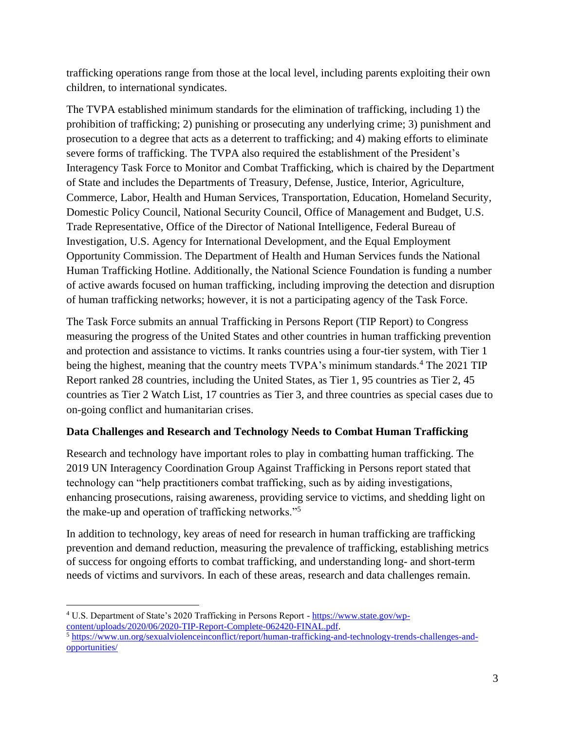trafficking operations range from those at the local level, including parents exploiting their own children, to international syndicates.

The TVPA established minimum standards for the elimination of trafficking, including 1) the prohibition of trafficking; 2) punishing or prosecuting any underlying crime; 3) punishment and prosecution to a degree that acts as a deterrent to trafficking; and 4) making efforts to eliminate severe forms of trafficking. The TVPA also required the establishment of the President's Interagency Task Force to Monitor and Combat Trafficking, which is chaired by the Department of State and includes the Departments of Treasury, Defense, Justice, Interior, Agriculture, Commerce, Labor, Health and Human Services, Transportation, Education, Homeland Security, Domestic Policy Council, National Security Council, Office of Management and Budget, U.S. Trade Representative, Office of the Director of National Intelligence, Federal Bureau of Investigation, U.S. Agency for International Development, and the Equal Employment Opportunity Commission. The Department of Health and Human Services funds the National Human Trafficking Hotline. Additionally, the National Science Foundation is funding a number of active awards focused on human trafficking, including improving the detection and disruption of human trafficking networks; however, it is not a participating agency of the Task Force.

The Task Force submits an annual Trafficking in Persons Report (TIP Report) to Congress measuring the progress of the United States and other countries in human trafficking prevention and protection and assistance to victims. It ranks countries using a four-tier system, with Tier 1 being the highest, meaning that the country meets TVPA's minimum standards.<sup>4</sup> The 2021 TIP Report ranked 28 countries, including the United States, as Tier 1, 95 countries as Tier 2, 45 countries as Tier 2 Watch List, 17 countries as Tier 3, and three countries as special cases due to on-going conflict and humanitarian crises.

# **Data Challenges and Research and Technology Needs to Combat Human Trafficking**

Research and technology have important roles to play in combatting human trafficking. The 2019 UN Interagency Coordination Group Against Trafficking in Persons report stated that technology can "help practitioners combat trafficking, such as by aiding investigations, enhancing prosecutions, raising awareness, providing service to victims, and shedding light on the make-up and operation of trafficking networks."<sup>5</sup>

In addition to technology, key areas of need for research in human trafficking are trafficking prevention and demand reduction, measuring the prevalence of trafficking, establishing metrics of success for ongoing efforts to combat trafficking, and understanding long- and short-term needs of victims and survivors. In each of these areas, research and data challenges remain.

<sup>4</sup> U.S. Department of State's 2020 Trafficking in Persons Report - [https://www.state.gov/wp](https://www.state.gov/wp-content/uploads/2020/06/2020-TIP-Report-Complete-062420-FINAL.pdf)[content/uploads/2020/06/2020-TIP-Report-Complete-062420-FINAL.pdf.](https://www.state.gov/wp-content/uploads/2020/06/2020-TIP-Report-Complete-062420-FINAL.pdf) <sup>5</sup> [https://www.un.org/sexualviolenceinconflict/report/human-trafficking-and-technology-trends-challenges-and](https://www.un.org/sexualviolenceinconflict/report/human-trafficking-and-technology-trends-challenges-and-opportunities/)[opportunities/](https://www.un.org/sexualviolenceinconflict/report/human-trafficking-and-technology-trends-challenges-and-opportunities/)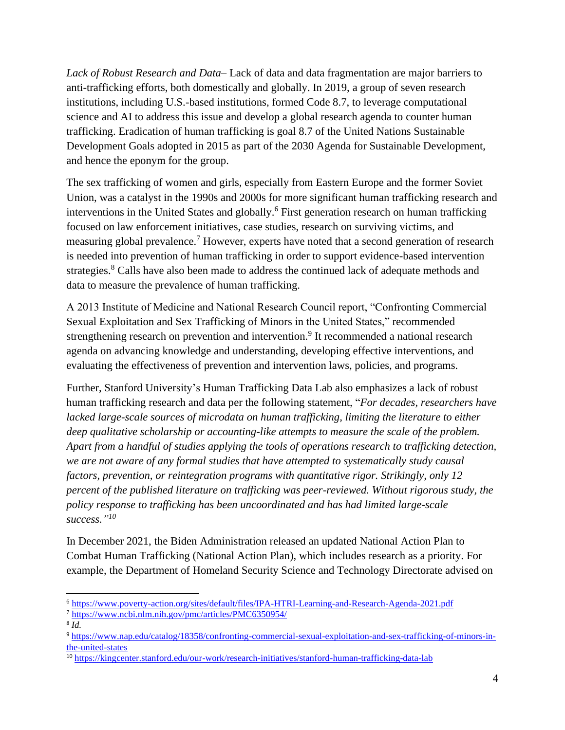*Lack of Robust Research and Data–* Lack of data and data fragmentation are major barriers to anti-trafficking efforts, both domestically and globally. In 2019, a group of seven research institutions, including U.S.-based institutions, formed Code 8.7, to leverage computational science and AI to address this issue and develop a global research agenda to counter human trafficking. Eradication of human trafficking is goal 8.7 of the United Nations Sustainable Development Goals adopted in 2015 as part of the 2030 Agenda for Sustainable Development, and hence the eponym for the group.

The sex trafficking of women and girls, especially from Eastern Europe and the former Soviet Union, was a catalyst in the 1990s and 2000s for more significant human trafficking research and interventions in the United States and globally.<sup>6</sup> First generation research on human trafficking focused on law enforcement initiatives, case studies, research on surviving victims, and measuring global prevalence.<sup>7</sup> However, experts have noted that a second generation of research is needed into prevention of human trafficking in order to support evidence-based intervention strategies.<sup>8</sup> Calls have also been made to address the continued lack of adequate methods and data to measure the prevalence of human trafficking.

A 2013 Institute of Medicine and National Research Council report, "Confronting Commercial Sexual Exploitation and Sex Trafficking of Minors in the United States," recommended strengthening research on prevention and intervention.<sup>9</sup> It recommended a national research agenda on advancing knowledge and understanding, developing effective interventions, and evaluating the effectiveness of prevention and intervention laws, policies, and programs.

Further, Stanford University's Human Trafficking Data Lab also emphasizes a lack of robust human trafficking research and data per the following statement, "*For decades, researchers have lacked large-scale sources of microdata on human trafficking, limiting the literature to either deep qualitative scholarship or accounting-like attempts to measure the scale of the problem. Apart from a handful of studies applying the tools of operations research to trafficking detection, we are not aware of any formal studies that have attempted to systematically study causal factors, prevention, or reintegration programs with quantitative rigor. Strikingly, only 12 percent of the published literature on trafficking was peer-reviewed. Without rigorous study, the policy response to trafficking has been uncoordinated and has had limited large-scale success." 10*

In December 2021, the Biden Administration released an updated National Action Plan to Combat Human Trafficking (National Action Plan), which includes research as a priority. For example, the Department of Homeland Security Science and Technology Directorate advised on

<sup>6</sup> <https://www.poverty-action.org/sites/default/files/IPA-HTRI-Learning-and-Research-Agenda-2021.pdf>

<sup>7</sup> <https://www.ncbi.nlm.nih.gov/pmc/articles/PMC6350954/>

<sup>8</sup> *Id.*

<sup>9</sup> [https://www.nap.edu/catalog/18358/confronting-commercial-sexual-exploitation-and-sex-trafficking-of-minors-in](https://www.nap.edu/catalog/18358/confronting-commercial-sexual-exploitation-and-sex-trafficking-of-minors-in-the-united-states)[the-united-states](https://www.nap.edu/catalog/18358/confronting-commercial-sexual-exploitation-and-sex-trafficking-of-minors-in-the-united-states)

<sup>10</sup> <https://kingcenter.stanford.edu/our-work/research-initiatives/stanford-human-trafficking-data-lab>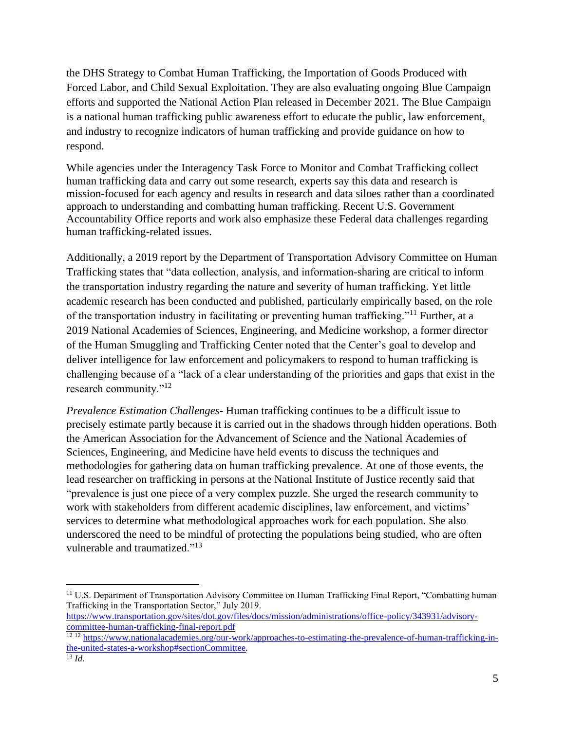the DHS Strategy to Combat Human Trafficking, the Importation of Goods Produced with Forced Labor, and Child Sexual Exploitation. They are also evaluating ongoing Blue Campaign efforts and supported the National Action Plan released in December 2021. The Blue Campaign is a national human trafficking public awareness effort to educate the public, law enforcement, and industry to recognize indicators of human trafficking and provide guidance on how to respond.

While agencies under the Interagency Task Force to Monitor and Combat Trafficking collect human trafficking data and carry out some research, experts say this data and research is mission-focused for each agency and results in research and data siloes rather than a coordinated approach to understanding and combatting human trafficking. Recent U.S. Government Accountability Office reports and work also emphasize these Federal data challenges regarding human trafficking-related issues.

Additionally, a 2019 report by the Department of Transportation Advisory Committee on Human Trafficking states that "data collection, analysis, and information-sharing are critical to inform the transportation industry regarding the nature and severity of human trafficking. Yet little academic research has been conducted and published, particularly empirically based, on the role of the transportation industry in facilitating or preventing human trafficking."<sup>11</sup> Further, at a 2019 National Academies of Sciences, Engineering, and Medicine workshop, a former director of the Human Smuggling and Trafficking Center noted that the Center's goal to develop and deliver intelligence for law enforcement and policymakers to respond to human trafficking is challenging because of a "lack of a clear understanding of the priorities and gaps that exist in the research community."<sup>12</sup>

*Prevalence Estimation Challenges-* Human trafficking continues to be a difficult issue to precisely estimate partly because it is carried out in the shadows through hidden operations. Both the American Association for the Advancement of Science and the National Academies of Sciences, Engineering, and Medicine have held events to discuss the techniques and methodologies for gathering data on human trafficking prevalence. At one of those events, the lead researcher on trafficking in persons at the National Institute of Justice recently said that "prevalence is just one piece of a very complex puzzle. She urged the research community to work with stakeholders from different academic disciplines, law enforcement, and victims' services to determine what methodological approaches work for each population. She also underscored the need to be mindful of protecting the populations being studied, who are often vulnerable and traumatized."<sup>13</sup>

<sup>&</sup>lt;sup>11</sup> U.S. Department of Transportation Advisory Committee on Human Trafficking Final Report, "Combatting human" Trafficking in the Transportation Sector," July 2019.

[https://www.transportation.gov/sites/dot.gov/files/docs/mission/administrations/office-policy/343931/advisory](https://www.transportation.gov/sites/dot.gov/files/docs/mission/administrations/office-policy/343931/advisory-committee-human-trafficking-final-report.pdf)[committee-human-trafficking-final-report.pdf](https://www.transportation.gov/sites/dot.gov/files/docs/mission/administrations/office-policy/343931/advisory-committee-human-trafficking-final-report.pdf)

<sup>12 12</sup> [https://www.nationalacademies.org/our-work/approaches-to-estimating-the-prevalence-of-human-trafficking-in](https://www.nationalacademies.org/our-work/approaches-to-estimating-the-prevalence-of-human-trafficking-in-the-united-states-a-workshop#sectionCommittee)[the-united-states-a-workshop#sectionCommittee](https://www.nationalacademies.org/our-work/approaches-to-estimating-the-prevalence-of-human-trafficking-in-the-united-states-a-workshop#sectionCommittee)*.* <sup>13</sup> *Id.*